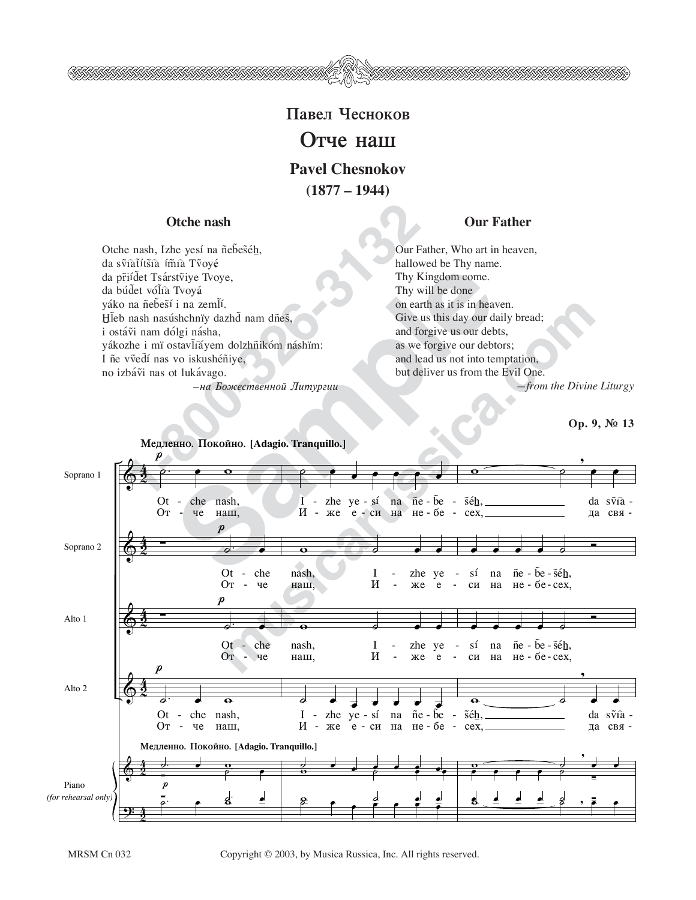

**(1877 – 1944)**

## **Otche nash and Our Father of Our Father**

**1-80**<br> **1-80**<br> **1-80**<br> **1-80**<br> **1-80**<br> **1-80**<br> **1-80**<br> **1-80**<br> **1-80**<br> **1-80**<br> **1-80**<br> **1-80**<br> **1-80**<br> **1-80**<br> **1-80**<br> **1-80**<br> **1-80**<br> **1-80**<br> **1-80**<br> **1-80**<br> **1-80**<br> **1-80**<br> **1-80**<br> **1-80**<br> **1-80**<br> **1-80**<br> **1-80**<br> **1-80** Otche nash, Izhe yesí na ñebeséh, da svîatítšîa ímîa Tvoyé da pr̃iídet Tsárstviye Tvoye, da búdet vólía Tvoyá yáko na ñebest i na zemlí. Hleb nash nasúshchnïy dazhd nam dñes, i ostávi nam dólgi násha, yákozhe i mï ostavlíáyem dolzhñikóm náshïm: I ñe vvedí nas vo iskushéniye, no izbávi nas ot lukávago.  $-$ на Божественной Литургии

Our Father, Who art in heaven, hallowed be Thy name. Thy Kingdom come. Thy will be done on earth as it is in heaven. Give us this day our daily bread; and forgive us our debts, as we forgive our debtors; and lead us not into temptation, but deliver us from the Evil One. *—from the Divine Liturgy*

**Op. 9, ™ 13**



MRSM Cn 032 Copyright © 2003, by Musica Russica, Inc. All rights reserved.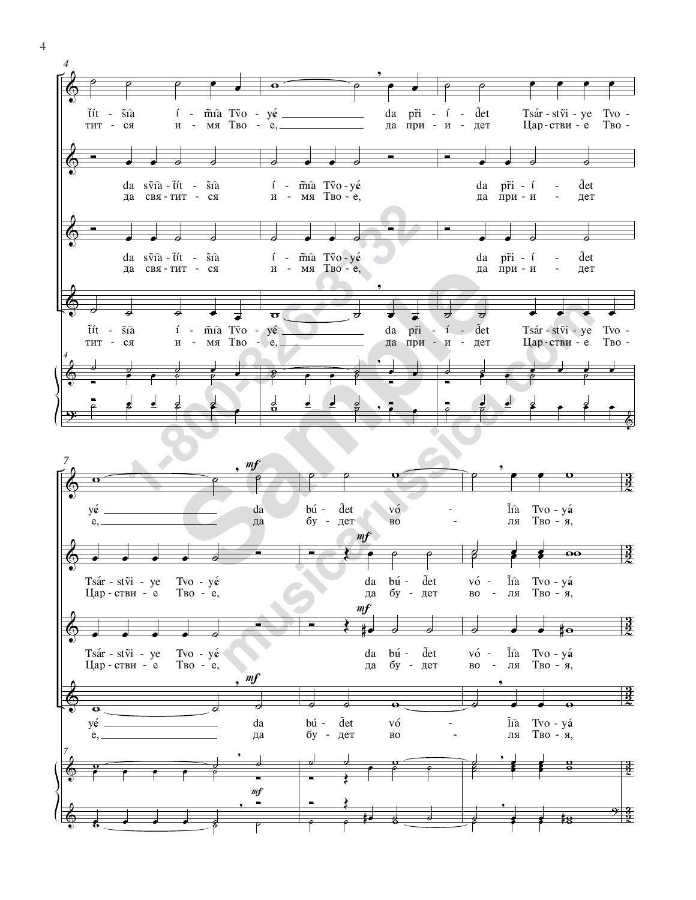



4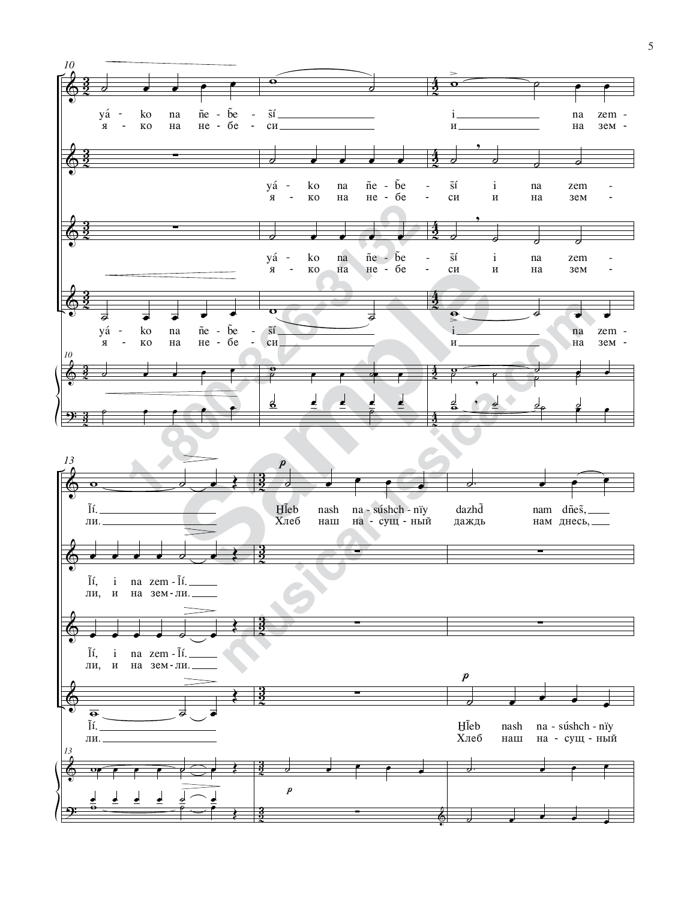